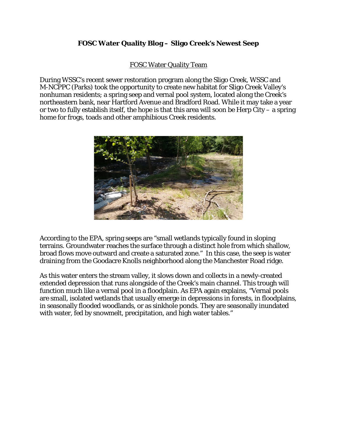## **FOSC Water Quality Blog – Sligo Creek's Newest Seep**

## FOSC Water Quality Team

During WSSC's recent sewer restoration program along the Sligo Creek, WSSC and M-NCPPC (Parks) took the opportunity to create new habitat for Sligo Creek Valley's nonhuman residents; a spring seep and vernal pool system, located along the Creek's northeastern bank, near Hartford Avenue and Bradford Road. While it may take a year or two to fully establish itself, the hope is that this area will soon be Herp City – a spring home for frogs, toads and other amphibious Creek residents.



According to the EPA, spring seeps are "small wetlands typically found in sloping terrains. Groundwater reaches the surface through a distinct hole from which shallow, broad flows move outward and create a saturated zone." In this case, the seep is water draining from the Goodacre Knolls neighborhood along the Manchester Road ridge.

As this water enters the stream valley, it slows down and collects in a newly-created extended depression that runs alongside of the Creek's main channel. This trough will function much like a vernal pool in a floodplain. As EPA again explains, "Vernal pools are small, isolated wetlands that usually emerge in depressions in forests, in floodplains, in seasonally flooded woodlands, or as sinkhole ponds. They are seasonally inundated with water, fed by snowmelt, precipitation, and high water tables."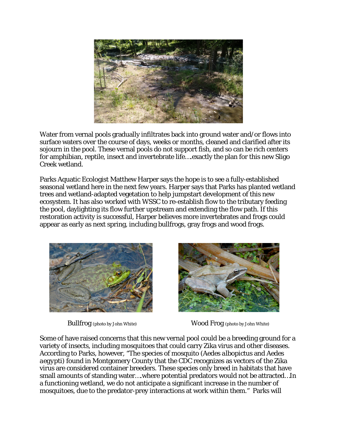

Water from vernal pools gradually infiltrates back into ground water and/or flows into surface waters over the course of days, weeks or months, cleaned and clarified after its sojourn in the pool. These vernal pools do not support fish, and so can be rich centers for amphibian, reptile, insect and invertebrate life….exactly the plan for this new Sligo Creek wetland.

Parks Aquatic Ecologist Matthew Harper says the hope is to see a fully-established seasonal wetland here in the next few years. Harper says that Parks has planted wetland trees and wetland-adapted vegetation to help jumpstart development of this new ecosystem. It has also worked with WSSC to re-establish flow to the tributary feeding the pool, daylighting its flow further upstream and extending the flow path. If this restoration activity is successful, Harper believes more invertebrates and frogs could appear as early as next spring, including bullfrogs, gray frogs and wood frogs.





Bullfrog (photo by John White) Wood Frog (photo by John White)

Some of have raised concerns that this new vernal pool could be a breeding ground for a variety of insects, including mosquitoes that could carry Zika virus and other diseases. According to Parks, however, "The species of mosquito (*Aedes albopictus* and *Aedes aegypti)* found in Montgomery County that the CDC recognizes as vectors of the Zika virus are considered container breeders. These species only breed in habitats that have small amounts of standing water….where potential predators would not be attracted…In a functioning wetland, we do not anticipate a significant increase in the number of mosquitoes, due to the predator-prey interactions at work within them." Parks will